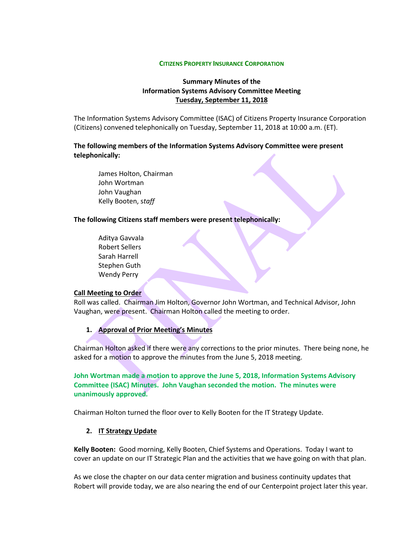#### **CITIZENS PROPERTY INSURANCE CORPORATION**

### **Summary Minutes of the Information Systems Advisory Committee Meeting Tuesday, September 11, 2018**

The Information Systems Advisory Committee (ISAC) of Citizens Property Insurance Corporation (Citizens) convened telephonically on Tuesday, September 11, 2018 at 10:00 a.m. (ET).

**The following members of the Information Systems Advisory Committee were present telephonically:**

James Holton, Chairman John Wortman John Vaughan Kelly Booten, s*taff*

#### **The following Citizens staff members were present telephonically:**

Aditya Gavvala Robert Sellers Sarah Harrell Stephen Guth Wendy Perry

#### **Call Meeting to Order**

Roll was called. Chairman Jim Holton, Governor John Wortman, and Technical Advisor, John Vaughan, were present. Chairman Holton called the meeting to order.

#### **1. Approval of Prior Meeting's Minutes**

Chairman Holton asked if there were any corrections to the prior minutes. There being none, he asked for a motion to approve the minutes from the June 5, 2018 meeting.

**John Wortman made a motion to approve the June 5, 2018, Information Systems Advisory Committee (ISAC) Minutes. John Vaughan seconded the motion. The minutes were unanimously approved.**

Chairman Holton turned the floor over to Kelly Booten for the IT Strategy Update.

#### **2. IT Strategy Update**

**Kelly Booten:** Good morning, Kelly Booten, Chief Systems and Operations. Today I want to cover an update on our IT Strategic Plan and the activities that we have going on with that plan.

As we close the chapter on our data center migration and business continuity updates that Robert will provide today, we are also nearing the end of our Centerpoint project later this year.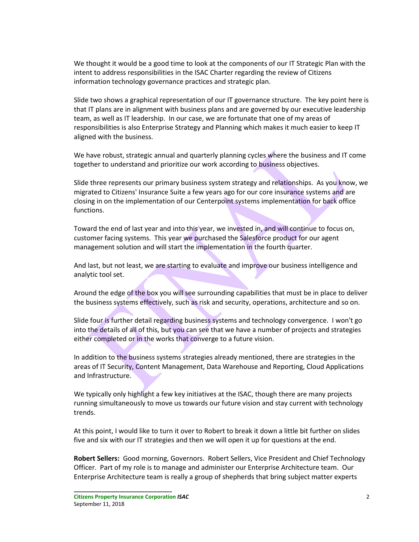We thought it would be a good time to look at the components of our IT Strategic Plan with the intent to address responsibilities in the ISAC Charter regarding the review of Citizens information technology governance practices and strategic plan.

Slide two shows a graphical representation of our IT governance structure. The key point here is that IT plans are in alignment with business plans and are governed by our executive leadership team, as well as IT leadership. In our case, we are fortunate that one of my areas of responsibilities is also Enterprise Strategy and Planning which makes it much easier to keep IT aligned with the business.

We have robust, strategic annual and quarterly planning cycles where the business and IT come together to understand and prioritize our work according to business objectives.

Slide three represents our primary business system strategy and relationships. As you know, we migrated to Citizens' Insurance Suite a few years ago for our core insurance systems and are closing in on the implementation of our Centerpoint systems implementation for back office functions.

Toward the end of last year and into this year, we invested in, and will continue to focus on, customer facing systems. This year we purchased the Salesforce product for our agent management solution and will start the implementation in the fourth quarter.

And last, but not least, we are starting to evaluate and improve our business intelligence and analytic tool set.

Around the edge of the box you will see surrounding capabilities that must be in place to deliver the business systems effectively, such as risk and security, operations, architecture and so on.

Slide four is further detail regarding business systems and technology convergence. I won't go into the details of all of this, but you can see that we have a number of projects and strategies either completed or in the works that converge to a future vision.

In addition to the business systems strategies already mentioned, there are strategies in the areas of IT Security, Content Management, Data Warehouse and Reporting, Cloud Applications and Infrastructure.

We typically only highlight a few key initiatives at the ISAC, though there are many projects running simultaneously to move us towards our future vision and stay current with technology trends.

At this point, I would like to turn it over to Robert to break it down a little bit further on slides five and six with our IT strategies and then we will open it up for questions at the end.

**Robert Sellers:** Good morning, Governors. Robert Sellers, Vice President and Chief Technology Officer. Part of my role is to manage and administer our Enterprise Architecture team. Our Enterprise Architecture team is really a group of shepherds that bring subject matter experts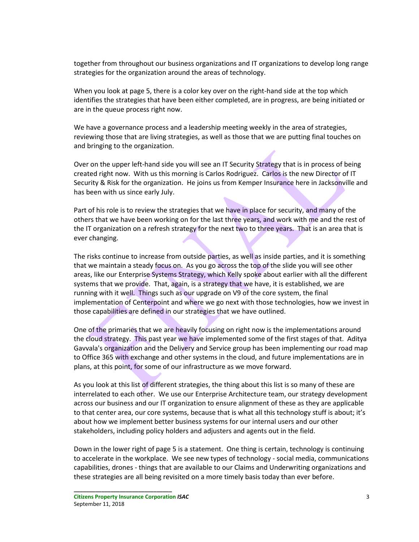together from throughout our business organizations and IT organizations to develop long range strategies for the organization around the areas of technology.

When you look at page 5, there is a color key over on the right-hand side at the top which identifies the strategies that have been either completed, are in progress, are being initiated or are in the queue process right now.

We have a governance process and a leadership meeting weekly in the area of strategies, reviewing those that are living strategies, as well as those that we are putting final touches on and bringing to the organization.

Over on the upper left-hand side you will see an IT Security Strategy that is in process of being created right now. With us this morning is Carlos Rodriguez. Carlos is the new Director of IT Security & Risk for the organization. He joins us from Kemper Insurance here in Jacksonville and has been with us since early July.

Part of his role is to review the strategies that we have in place for security, and many of the others that we have been working on for the last three years, and work with me and the rest of the IT organization on a refresh strategy for the next two to three years. That is an area that is ever changing.

The risks continue to increase from outside parties, as well as inside parties, and it is something that we maintain a steady focus on. As you go across the top of the slide you will see other areas, like our Enterprise Systems Strategy, which Kelly spoke about earlier with all the different systems that we provide. That, again, is a strategy that we have, it is established, we are running with it well. Things such as our upgrade on V9 of the core system, the final implementation of Centerpoint and where we go next with those technologies, how we invest in those capabilities are defined in our strategies that we have outlined.

One of the primaries that we are heavily focusing on right now is the implementations around the cloud strategy. This past year we have implemented some of the first stages of that. Aditya Gavvala's organization and the Delivery and Service group has been implementing our road map to Office 365 with exchange and other systems in the cloud, and future implementations are in plans, at this point, for some of our infrastructure as we move forward.

As you look at this list of different strategies, the thing about this list is so many of these are interrelated to each other. We use our Enterprise Architecture team, our strategy development across our business and our IT organization to ensure alignment of these as they are applicable to that center area, our core systems, because that is what all this technology stuff is about; it's about how we implement better business systems for our internal users and our other stakeholders, including policy holders and adjusters and agents out in the field.

Down in the lower right of page 5 is a statement. One thing is certain, technology is continuing to accelerate in the workplace. We see new types of technology - social media, communications capabilities, drones - things that are available to our Claims and Underwriting organizations and these strategies are all being revisited on a more timely basis today than ever before.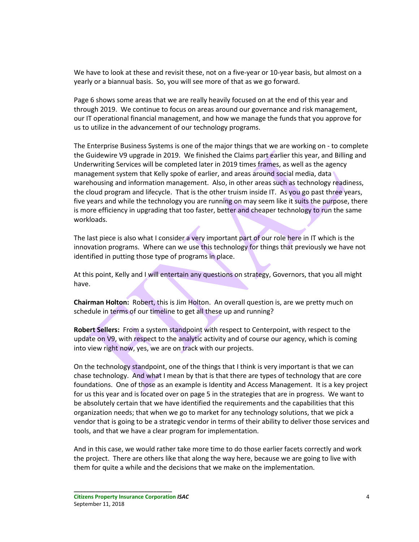We have to look at these and revisit these, not on a five-year or 10-year basis, but almost on a yearly or a biannual basis. So, you will see more of that as we go forward.

Page 6 shows some areas that we are really heavily focused on at the end of this year and through 2019. We continue to focus on areas around our governance and risk management, our IT operational financial management, and how we manage the funds that you approve for us to utilize in the advancement of our technology programs.

The Enterprise Business Systems is one of the major things that we are working on - to complete the Guidewire V9 upgrade in 2019. We finished the Claims part earlier this year, and Billing and Underwriting Services will be completed later in 2019 times frames, as well as the agency management system that Kelly spoke of earlier, and areas around social media, data warehousing and information management. Also, in other areas such as technology readiness, the cloud program and lifecycle. That is the other truism inside IT. As you go past three years, five years and while the technology you are running on may seem like it suits the purpose, there is more efficiency in upgrading that too faster, better and cheaper technology to run the same workloads.

The last piece is also what I consider a very important part of our role here in IT which is the innovation programs. Where can we use this technology for things that previously we have not identified in putting those type of programs in place.

At this point, Kelly and I will entertain any questions on strategy, Governors, that you all might have.

**Chairman Holton:** Robert, this is Jim Holton. An overall question is, are we pretty much on schedule in terms of our timeline to get all these up and running?

**Robert Sellers:** From a system standpoint with respect to Centerpoint, with respect to the update on V9, with respect to the analytic activity and of course our agency, which is coming into view right now, yes, we are on track with our projects.

On the technology standpoint, one of the things that I think is very important is that we can chase technology. And what I mean by that is that there are types of technology that are core foundations. One of those as an example is Identity and Access Management. It is a key project for us this year and is located over on page 5 in the strategies that are in progress. We want to be absolutely certain that we have identified the requirements and the capabilities that this organization needs; that when we go to market for any technology solutions, that we pick a vendor that is going to be a strategic vendor in terms of their ability to deliver those services and tools, and that we have a clear program for implementation.

And in this case, we would rather take more time to do those earlier facets correctly and work the project. There are others like that along the way here, because we are going to live with them for quite a while and the decisions that we make on the implementation.

**Citizens Property Insurance Corporation** *ISAC* 4 September 11, 2018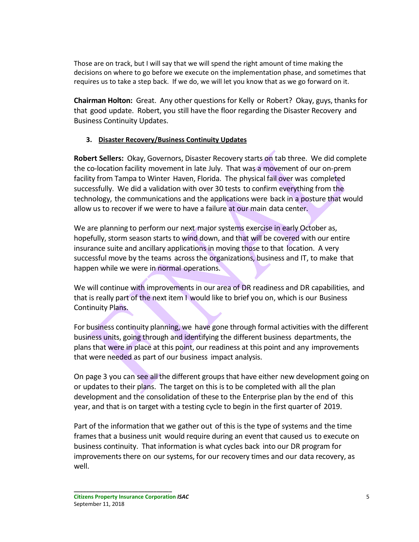Those are on track, but I will say that we will spend the right amount of time making the decisions on where to go before we execute on the implementation phase, and sometimes that requires us to take a step back. If we do, we will let you know that as we go forward on it.

**Chairman Holton:** Great. Any other questions for Kelly or Robert? Okay, guys, thanks for that good update. Robert, you still have the floor regarding the Disaster Recovery and Business Continuity Updates.

# **3. Disaster Recovery/Business Continuity Updates**

**Robert Sellers:** Okay, Governors, Disaster Recovery starts on tab three. We did complete the co-location facility movement in late July. That was a movement of our on-prem facility from Tampa to Winter Haven, Florida. The physical fail over was completed successfully. We did a validation with over 30 tests to confirm everything from the technology, the communications and the applications were back in a posture that would allow us to recover if we were to have a failure at our main data center.

We are planning to perform our next major systems exercise in early October as, hopefully, storm season starts to wind down, and that will be covered with our entire insurance suite and ancillary applications in moving those to that location. A very successful move by the teams across the organizations, business and IT, to make that happen while we were in normal operations.

We will continue with improvements in our area of DR readiness and DR capabilities, and that is really part of the next item I would like to brief you on, which is our Business Continuity Plans.

For business continuity planning, we have gone through formal activities with the different business units, going through and identifying the different business departments, the plans that were in place at this point, our readiness at this point and any improvements that were needed as part of our business impact analysis.

On page 3 you can see all the different groups that have either new development going on or updates to their plans. The target on this is to be completed with all the plan development and the consolidation of these to the Enterprise plan by the end of this year, and that is on target with a testing cycle to begin in the first quarter of 2019.

Part of the information that we gather out of this is the type of systems and the time frames that a business unit would require during an event that caused us to execute on business continuity. That information is what cycles back into our DR program for improvements there on our systems, for our recovery times and our data recovery, as well.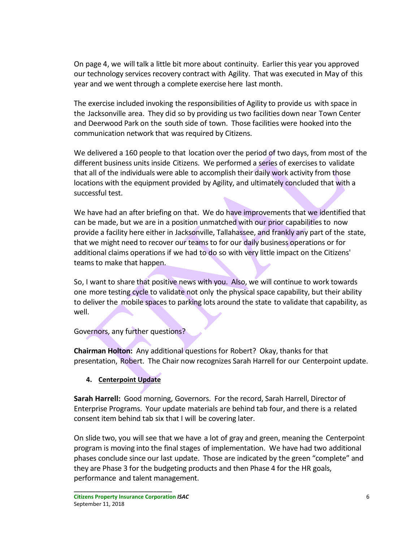On page 4, we will talk a little bit more about continuity. Earlier this year you approved our technology services recovery contract with Agility. That was executed in May of this year and we went through a complete exercise here last month.

The exercise included invoking the responsibilities of Agility to provide us with space in the Jacksonville area. They did so by providing us two facilities down near Town Center and Deerwood Park on the south side of town. Those facilities were hooked into the communication network that was required by Citizens.

We delivered a 160 people to that location over the period of two days, from most of the different business units inside Citizens. We performed a series of exercises to validate that all of the individuals were able to accomplish their daily work activity from those locations with the equipment provided by Agility, and ultimately concluded that with a successful test.

We have had an after briefing on that. We do have improvements that we identified that can be made, but we are in a position unmatched with our prior capabilities to now provide a facility here either in Jacksonville, Tallahassee, and frankly any part of the state, that we might need to recover our teams to for our daily business operations or for additional claims operations if we had to do so with very little impact on the Citizens' teams to make that happen.

So, I want to share that positive news with you. Also, we will continue to work towards one more testing cycle to validate not only the physical space capability, but their ability to deliver the mobile spaces to parking lots around the state to validate that capability, as well.

Governors, any further questions?

**Chairman Holton:** Any additional questions for Robert? Okay, thanks for that presentation, Robert. The Chair now recognizes Sarah Harrell for our Centerpoint update.

# **4. Centerpoint Update**

**Sarah Harrell:** Good morning, Governors. For the record, Sarah Harrell, Director of Enterprise Programs. Your update materials are behind tab four, and there is a related consent item behind tab six that I will be covering later.

On slide two, you will see that we have a lot of gray and green, meaning the Centerpoint program is moving into the final stages of implementation. We have had two additional phases conclude since our last update. Those are indicated by the green "complete" and they are Phase 3 for the budgeting products and then Phase 4 for the HR goals, performance and talent management.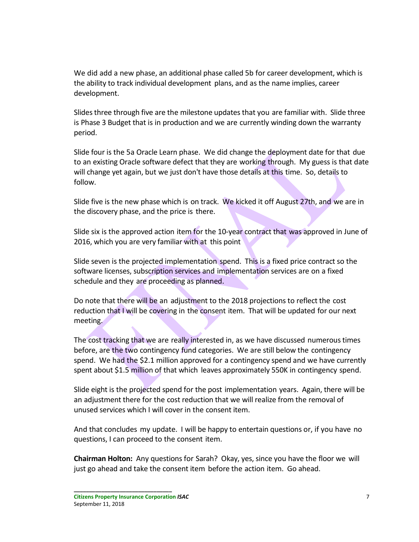We did add a new phase, an additional phase called 5b for career development, which is the ability to track individual development plans, and as the name implies, career development.

Slides three through five are the milestone updates that you are familiar with. Slide three is Phase 3 Budget that is in production and we are currently winding down the warranty period.

Slide four is the 5a Oracle Learn phase. We did change the deployment date for that due to an existing Oracle software defect that they are working through. My guess is that date will change yet again, but we just don't have those details at this time. So, details to follow.

Slide five is the new phase which is on track. We kicked it off August 27th, and we are in the discovery phase, and the price is there.

Slide six is the approved action item for the 10-year contract that was approved in June of 2016, which you are very familiar with at this point

Slide seven is the projected implementation spend. This is a fixed price contract so the software licenses, subscription services and implementation services are on a fixed schedule and they are proceeding as planned.

Do note that there will be an adjustment to the 2018 projections to reflect the cost reduction that I will be covering in the consent item. That will be updated for our next meeting.

The cost tracking that we are really interested in, as we have discussed numerous times before, are the two contingency fund categories. We are still below the contingency spend. We had the \$2.1 million approved for a contingency spend and we have currently spent about \$1.5 million of that which leaves approximately 550K in contingency spend.

Slide eight is the projected spend for the post implementation years. Again, there will be an adjustment there for the cost reduction that we will realize from the removal of unused services which I will cover in the consent item.

And that concludes my update. I will be happy to entertain questions or, if you have no questions, I can proceed to the consent item.

**Chairman Holton:** Any questions for Sarah? Okay, yes, since you have the floor we will just go ahead and take the consent item before the action item. Go ahead.

**Citizens Property Insurance Corporation** *ISAC* 7 September 11, 2018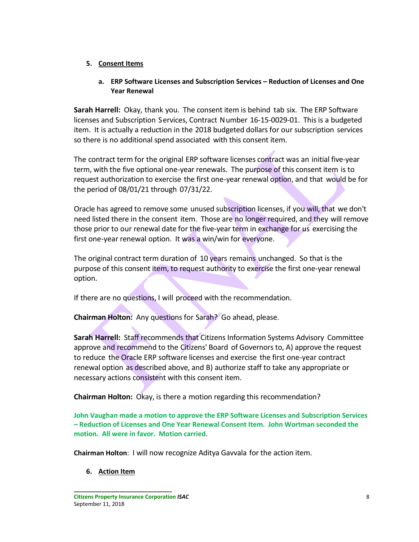## **5. Consent Items**

## **a. ERP Software Licenses and Subscription Services – Reduction of Licenses and One Year Renewal**

**Sarah Harrell:** Okay, thank you. The consent item is behind tab six. The ERP Software licenses and Subscription Services, Contract Number 16-15-0029-01. This is a budgeted item. It is actually a reduction in the 2018 budgeted dollars for our subscription services so there is no additional spend associated with this consent item.

The contract term for the original ERP software licenses contract was an initial five-year term, with the five optional one-year renewals. The purpose of this consent item is to request authorization to exercise the first one-year renewal option, and that would be for the period of 08/01/21 through 07/31/22.

Oracle has agreed to remove some unused subscription licenses, if you will, that we don't need listed there in the consent item. Those are no longer required, and they will remove those prior to our renewal date for the five-year term in exchange for us exercising the first one-year renewal option. It was a win/win for everyone.

The original contract term duration of 10 years remains unchanged. So that is the purpose of this consent item, to request authority to exercise the first one-year renewal option.

If there are no questions, I will proceed with the recommendation.

**Chairman Holton:** Any questions for Sarah? Go ahead, please.

**Sarah Harrell:** Staff recommends that Citizens Information Systems Advisory Committee approve and recommend to the Citizens' Board of Governorsto, A) approve the request to reduce the Oracle ERP software licenses and exercise the first one-year contract renewal option as described above, and B) authorize staff to take any appropriate or necessary actions consistent with this consent item.

**Chairman Holton:** Okay, is there a motion regarding this recommendation?

**John Vaughan made a motion to approve the ERP Software Licenses and Subscription Services – Reduction of Licenses and One Year Renewal Consent Item. John Wortman seconded the motion. All were in favor. Motion carried.**

**Chairman Holton**: I will now recognize Aditya Gavvala for the action item.

**6. Action Item**

**Citizens Property Insurance Corporation** *ISAC* 8 September 11, 2018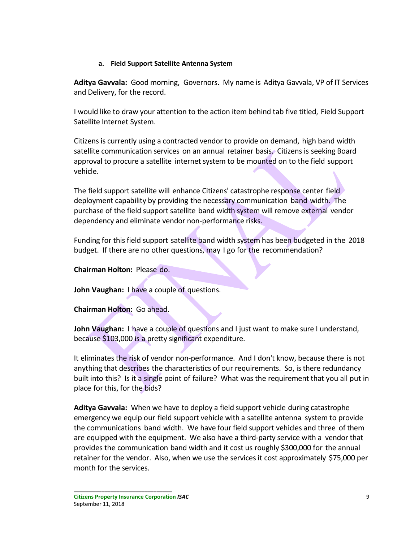### **a. Field Support Satellite Antenna System**

**Aditya Gavvala:** Good morning, Governors. My name is Aditya Gavvala, VP of IT Services and Delivery, for the record.

I would like to draw your attention to the action item behind tab five titled, Field Support Satellite Internet System.

Citizens is currently using a contracted vendor to provide on demand, high band width satellite communication services on an annual retainer basis. Citizens is seeking Board approval to procure a satellite internet system to be mounted on to the field support vehicle.

The field support satellite will enhance Citizens' catastrophe response center field deployment capability by providing the necessary communication band width. The purchase of the field support satellite band width system will remove external vendor dependency and eliminate vendor non-performance risks.

Funding for this field support satellite band width system has been budgeted in the 2018 budget. If there are no other questions, may I go for the recommendation?

# **Chairman Holton:** Please do.

**John Vaughan:** I have a couple of questions.

**Chairman Holton:** Go ahead.

**John Vaughan:** I have a couple of questions and I just want to make sure I understand, because \$103,000 is a pretty significant expenditure.

It eliminates the risk of vendor non-performance. And I don't know, because there is not anything that describes the characteristics of our requirements. So, is there redundancy built into this? Is it a single point of failure? What was the requirement that you all put in place for this, for the bids?

**Aditya Gavvala:** When we have to deploy a field support vehicle during catastrophe emergency we equip our field support vehicle with a satellite antenna system to provide the communications band width. We have four field support vehicles and three of them are equipped with the equipment. We also have a third-party service with a vendor that provides the communication band width and it cost us roughly \$300,000 for the annual retainer for the vendor. Also, when we use the services it cost approximately \$75,000 per month for the services.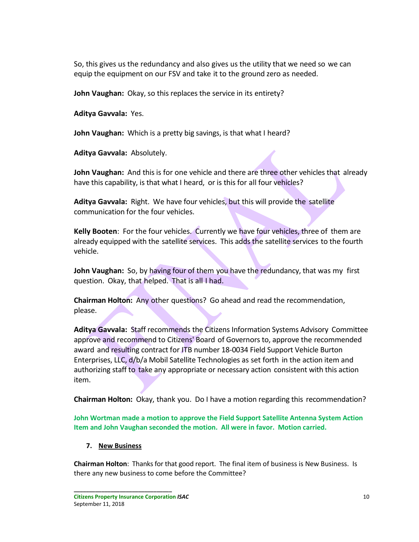So, this gives us the redundancy and also gives us the utility that we need so we can equip the equipment on our FSV and take it to the ground zero as needed.

**John Vaughan:** Okay, so this replaces the service in its entirety?

**Aditya Gavvala:** Yes.

**John Vaughan:** Which is a pretty big savings, is that what I heard?

**Aditya Gavvala:** Absolutely.

**John Vaughan:** And this is for one vehicle and there are three other vehicles that already have this capability, is that what I heard, or is this for all four vehicles?

**Aditya Gavvala:** Right. We have four vehicles, but this will provide the satellite communication for the four vehicles.

**Kelly Booten**: For the four vehicles. Currently we have four vehicles, three of them are already equipped with the satellite services. This adds the satellite services to the fourth vehicle.

**John Vaughan:** So, by having four of them you have the redundancy, that was my first question. Okay, that helped. That is all I had.

**Chairman Holton:** Any other questions? Go ahead and read the recommendation, please.

**Aditya Gavvala:** Staff recommends the Citizens Information Systems Advisory Committee approve and recommend to Citizens' Board of Governors to, approve the recommended award and resulting contract for ITB number 18-0034 Field Support Vehicle Burton Enterprises, LLC, d/b/a Mobil Satellite Technologies as set forth in the action item and authorizing staff to take any appropriate or necessary action consistent with this action item.

**Chairman Holton:** Okay, thank you. Do I have a motion regarding this recommendation?

**John Wortman made a motion to approve the Field Support Satellite Antenna System Action Item and John Vaughan seconded the motion. All were in favor. Motion carried.**

**7. New Business**

**Chairman Holton**: Thanks for that good report. The final item of business is New Business. Is there any new business to come before the Committee?

**Citizens Property Insurance Corporation** *ISAC* 10 September 11, 2018